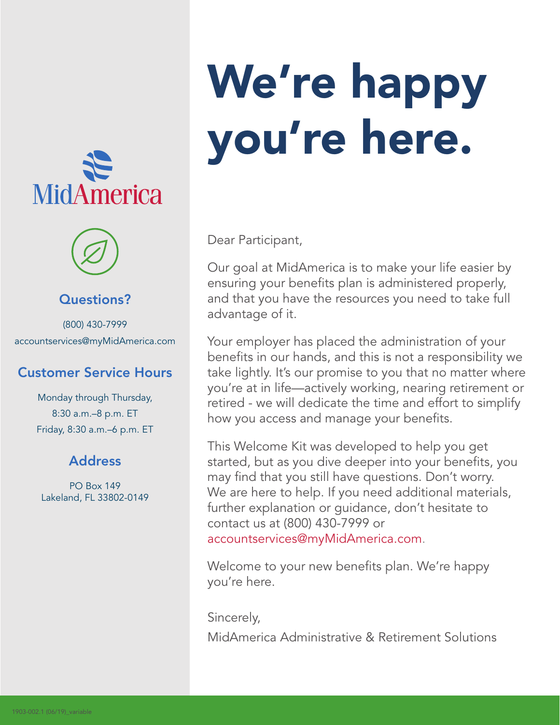



#### Questions?

(800) 430-7999 accountservices@myMidAmerica.com

#### Customer Service Hours

Monday through Thursday, 8:30 a.m.–8 p.m. ET Friday, 8:30 a.m.–6 p.m. ET

#### Address

PO Box 149 Lakeland, FL 33802-0149

# We're happy you're here.

Dear Participant,

Our goal at MidAmerica is to make your life easier by ensuring your benefits plan is administered properly, and that you have the resources you need to take full advantage of it.

Your employer has placed the administration of your benefits in our hands, and this is not a responsibility we take lightly. It's our promise to you that no matter where you're at in life—actively working, nearing retirement or retired - we will dedicate the time and effort to simplify how you access and manage your benefits.

This Welcome Kit was developed to help you get started, but as you dive deeper into your benefits, you may find that you still have questions. Don't worry. We are here to help. If you need additional materials, further explanation or guidance, don't hesitate to contact us at (800) 430-7999 or accountservices@myMidAmerica.com.

Welcome to your new benefits plan. We're happy you're here.

Sincerely, MidAmerica Administrative & Retirement Solutions